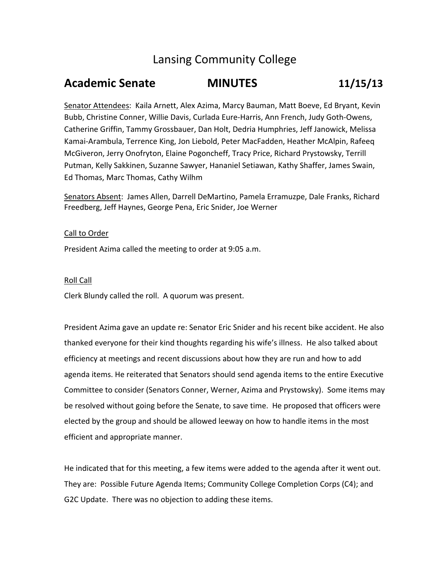# Lansing Community College

# **Academic Senate MINUTES 11/15/13**

Senator Attendees: Kaila Arnett, Alex Azima, Marcy Bauman, Matt Boeve, Ed Bryant, Kevin Bubb, Christine Conner, Willie Davis, Curlada Eure‐Harris, Ann French, Judy Goth‐Owens, Catherine Griffin, Tammy Grossbauer, Dan Holt, Dedria Humphries, Jeff Janowick, Melissa Kamai‐Arambula, Terrence King, Jon Liebold, Peter MacFadden, Heather McAlpin, Rafeeq McGiveron, Jerry Onofryton, Elaine Pogoncheff, Tracy Price, Richard Prystowsky, Terrill Putman, Kelly Sakkinen, Suzanne Sawyer, Hananiel Setiawan, Kathy Shaffer, James Swain, Ed Thomas, Marc Thomas, Cathy Wilhm

Senators Absent: James Allen, Darrell DeMartino, Pamela Erramuzpe, Dale Franks, Richard Freedberg, Jeff Haynes, George Pena, Eric Snider, Joe Werner

## Call to Order

President Azima called the meeting to order at 9:05 a.m.

### Roll Call

Clerk Blundy called the roll. A quorum was present.

President Azima gave an update re: Senator Eric Snider and his recent bike accident. He also thanked everyone for their kind thoughts regarding his wife's illness. He also talked about efficiency at meetings and recent discussions about how they are run and how to add agenda items. He reiterated that Senators should send agenda items to the entire Executive Committee to consider (Senators Conner, Werner, Azima and Prystowsky). Some items may be resolved without going before the Senate, to save time. He proposed that officers were elected by the group and should be allowed leeway on how to handle items in the most efficient and appropriate manner.

He indicated that for this meeting, a few items were added to the agenda after it went out. They are: Possible Future Agenda Items; Community College Completion Corps (C4); and G2C Update. There was no objection to adding these items.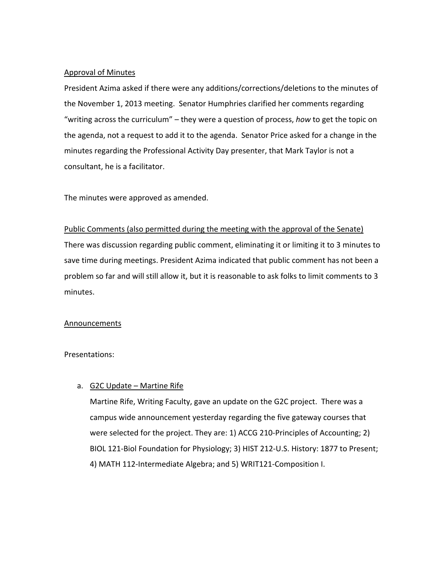## Approval of Minutes

President Azima asked if there were any additions/corrections/deletions to the minutes of the November 1, 2013 meeting. Senator Humphries clarified her comments regarding "writing across the curriculum" – they were a question of process, *how* to get the topic on the agenda, not a request to add it to the agenda. Senator Price asked for a change in the minutes regarding the Professional Activity Day presenter, that Mark Taylor is not a consultant, he is a facilitator.

The minutes were approved as amended.

## Public Comments (also permitted during the meeting with the approval of the Senate)

There was discussion regarding public comment, eliminating it or limiting it to 3 minutes to save time during meetings. President Azima indicated that public comment has not been a problem so far and will still allow it, but it is reasonable to ask folks to limit comments to 3 minutes.

#### Announcements

Presentations:

## a. G2C Update - Martine Rife

Martine Rife, Writing Faculty, gave an update on the G2C project. There was a campus wide announcement yesterday regarding the five gateway courses that were selected for the project. They are: 1) ACCG 210‐Principles of Accounting; 2) BIOL 121‐Biol Foundation for Physiology; 3) HIST 212‐U.S. History: 1877 to Present; 4) MATH 112‐Intermediate Algebra; and 5) WRIT121‐Composition I.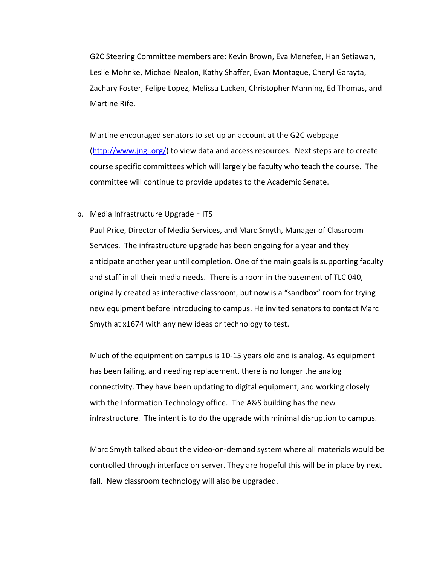G2C Steering Committee members are: Kevin Brown, Eva Menefee, Han Setiawan, Leslie Mohnke, Michael Nealon, Kathy Shaffer, Evan Montague, Cheryl Garayta, Zachary Foster, Felipe Lopez, Melissa Lucken, Christopher Manning, Ed Thomas, and Martine Rife.

Martine encouraged senators to set up an account at the G2C webpage (http://www.jngi.org/) to view data and access resources. Next steps are to create course specific committees which will largely be faculty who teach the course. The committee will continue to provide updates to the Academic Senate.

#### b. Media Infrastructure Upgrade - ITS

Paul Price, Director of Media Services, and Marc Smyth, Manager of Classroom Services. The infrastructure upgrade has been ongoing for a year and they anticipate another year until completion. One of the main goals is supporting faculty and staff in all their media needs. There is a room in the basement of TLC 040, originally created as interactive classroom, but now is a "sandbox" room for trying new equipment before introducing to campus. He invited senators to contact Marc Smyth at x1674 with any new ideas or technology to test.

Much of the equipment on campus is 10‐15 years old and is analog. As equipment has been failing, and needing replacement, there is no longer the analog connectivity. They have been updating to digital equipment, and working closely with the Information Technology office. The A&S building has the new infrastructure. The intent is to do the upgrade with minimal disruption to campus.

Marc Smyth talked about the video‐on‐demand system where all materials would be controlled through interface on server. They are hopeful this will be in place by next fall. New classroom technology will also be upgraded.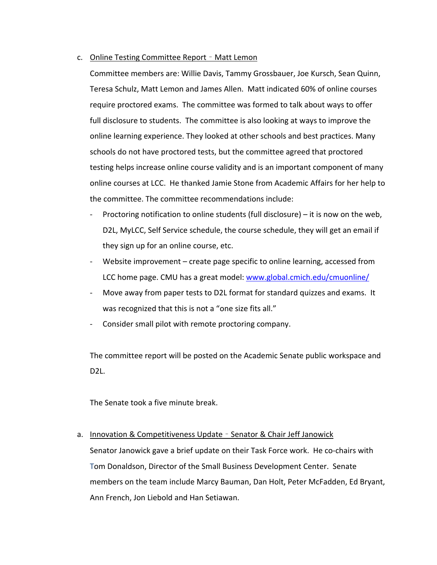#### c. Online Testing Committee Report – Matt Lemon

Committee members are: Willie Davis, Tammy Grossbauer, Joe Kursch, Sean Quinn, Teresa Schulz, Matt Lemon and James Allen. Matt indicated 60% of online courses require proctored exams. The committee was formed to talk about ways to offer full disclosure to students. The committee is also looking at ways to improve the online learning experience. They looked at other schools and best practices. Many schools do not have proctored tests, but the committee agreed that proctored testing helps increase online course validity and is an important component of many online courses at LCC. He thanked Jamie Stone from Academic Affairs for her help to the committee. The committee recommendations include:

- Proctoring notification to online students (full disclosure) it is now on the web, D2L, MyLCC, Self Service schedule, the course schedule, they will get an email if they sign up for an online course, etc.
- Website improvement create page specific to online learning, accessed from LCC home page. CMU has a great model: www.global.cmich.edu/cmuonline/
- ‐ Move away from paper tests to D2L format for standard quizzes and exams. It was recognized that this is not a "one size fits all."
- ‐ Consider small pilot with remote proctoring company.

The committee report will be posted on the Academic Senate public workspace and D2L.

The Senate took a five minute break.

#### a. Innovation & Competitiveness Update - Senator & Chair Jeff Janowick

Senator Janowick gave a brief update on their Task Force work. He co-chairs with Tom Donaldson, Director of the Small Business Development Center. Senate members on the team include Marcy Bauman, Dan Holt, Peter McFadden, Ed Bryant, Ann French, Jon Liebold and Han Setiawan.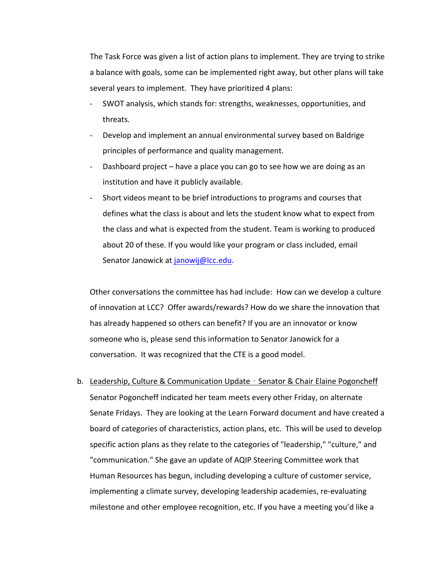The Task Force was given a list of action plans to implement. They are trying to strike a balance with goals, some can be implemented right away, but other plans will take several years to implement. They have prioritized 4 plans:

- SWOT analysis, which stands for: strengths, weaknesses, opportunities, and threats.
- ‐ Develop and implement an annual environmental survey based on Baldrige principles of performance and quality management.
- Dashboard project have a place you can go to see how we are doing as an institution and have it publicly available.
- ‐ Short videos meant to be brief introductions to programs and courses that defines what the class is about and lets the student know what to expect from the class and what is expected from the student. Team is working to produced about 20 of these. If you would like your program or class included, email Senator Janowick at janowij@lcc.edu.

Other conversations the committee has had include: How can we develop a culture of innovation at LCC? Offer awards/rewards? How do we share the innovation that has already happened so others can benefit? If you are an innovator or know someone who is, please send this information to Senator Janowick for a conversation. It was recognized that the CTE is a good model.

b. Leadership, Culture & Communication Update – Senator & Chair Elaine Pogoncheff Senator Pogoncheff indicated her team meets every other Friday, on alternate Senate Fridays. They are looking at the Learn Forward document and have created a board of categories of characteristics, action plans, etc. This will be used to develop specific action plans as they relate to the categories of "leadership," "culture," and "communication." She gave an update of AQIP Steering Committee work that Human Resources has begun, including developing a culture of customer service, implementing a climate survey, developing leadership academies, re‐evaluating milestone and other employee recognition, etc. If you have a meeting you'd like a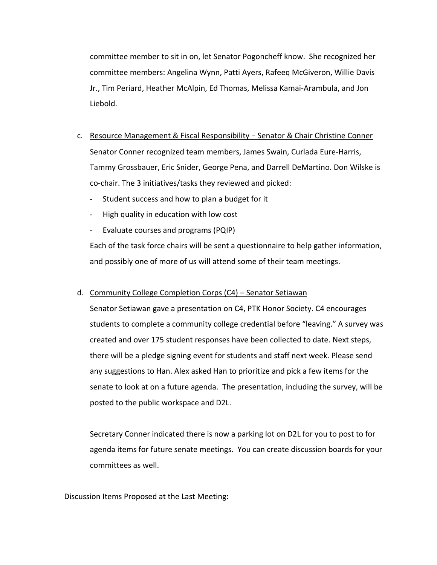committee member to sit in on, let Senator Pogoncheff know. She recognized her committee members: Angelina Wynn, Patti Ayers, Rafeeq McGiveron, Willie Davis Jr., Tim Periard, Heather McAlpin, Ed Thomas, Melissa Kamai‐Arambula, and Jon Liebold.

- c. Resource Management & Fiscal Responsibility Senator & Chair Christine Conner Senator Conner recognized team members, James Swain, Curlada Eure‐Harris, Tammy Grossbauer, Eric Snider, George Pena, and Darrell DeMartino. Don Wilske is co‐chair. The 3 initiatives/tasks they reviewed and picked:
	- ‐ Student success and how to plan a budget for it
	- ‐ High quality in education with low cost
	- ‐ Evaluate courses and programs (PQIP)

Each of the task force chairs will be sent a questionnaire to help gather information, and possibly one of more of us will attend some of their team meetings.

## d. Community College Completion Corps (C4) – Senator Setiawan

Senator Setiawan gave a presentation on C4, PTK Honor Society. C4 encourages students to complete a community college credential before "leaving." A survey was created and over 175 student responses have been collected to date. Next steps, there will be a pledge signing event for students and staff next week. Please send any suggestions to Han. Alex asked Han to prioritize and pick a few items for the senate to look at on a future agenda. The presentation, including the survey, will be posted to the public workspace and D2L.

Secretary Conner indicated there is now a parking lot on D2L for you to post to for agenda items for future senate meetings. You can create discussion boards for your committees as well.

Discussion Items Proposed at the Last Meeting: